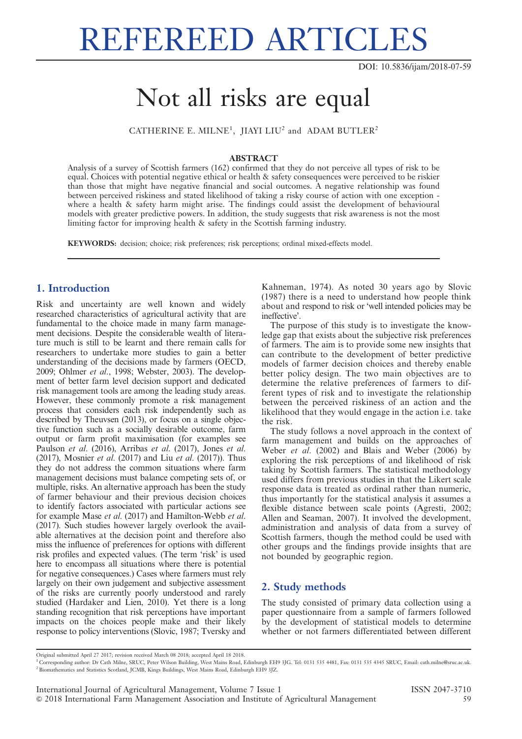# REFEREED ARTICLES

DOI: 10.5836/ijam/2018-07-59

## Not all risks are equal

CATHERINE E. MILNE<sup>1</sup>, JIAYI LIU<sup>2</sup> and ADAM BUTLER<sup>2</sup>

#### ABSTRACT

Analysis of a survey of Scottish farmers (162) confirmed that they do not perceive all types of risk to be equal. Choices with potential negative ethical or health & safety consequences were perceived to be riskier than those that might have negative financial and social outcomes. A negative relationship was found between perceived riskiness and stated likelihood of taking a risky course of action with one exception where a health & safety harm might arise. The findings could assist the development of behavioural models with greater predictive powers. In addition, the study suggests that risk awareness is not the most limiting factor for improving health & safety in the Scottish farming industry.

KEYWORDS: decision; choice; risk preferences; risk perceptions; ordinal mixed-effects model.

#### 1. Introduction

Risk and uncertainty are well known and widely researched characteristics of agricultural activity that are fundamental to the choice made in many farm management decisions. Despite the considerable wealth of literature much is still to be learnt and there remain calls for researchers to undertake more studies to gain a better understanding of the decisions made by farmers (OECD, 2009; Ohlmer et al., 1998; Webster, 2003). The development of better farm level decision support and dedicated risk management tools are among the leading study areas. However, these commonly promote a risk management process that considers each risk independently such as described by Theuvsen (2013), or focus on a single objective function such as a socially desirable outcome, farm output or farm profit maximisation (for examples see Paulson et al. (2016), Arribas et al. (2017), Jones et al. (2017), Mosnier et al. (2017) and Liu et al. (2017)). Thus they do not address the common situations where farm management decisions must balance competing sets of, or multiple, risks. An alternative approach has been the study of farmer behaviour and their previous decision choices to identify factors associated with particular actions see for example Mase et al. (2017) and Hamilton-Webb et al. (2017). Such studies however largely overlook the available alternatives at the decision point and therefore also miss the influence of preferences for options with different risk profiles and expected values. (The term 'risk' is used here to encompass all situations where there is potential for negative consequences.) Cases where farmers must rely largely on their own judgement and subjective assessment of the risks are currently poorly understood and rarely studied (Hardaker and Lien, 2010). Yet there is a long standing recognition that risk perceptions have important impacts on the choices people make and their likely response to policy interventions (Slovic, 1987; Tversky and

Kahneman, 1974). As noted 30 years ago by Slovic (1987) there is a need to understand how people think about and respond to risk or 'well intended policies may be ineffective'.

The purpose of this study is to investigate the knowledge gap that exists about the subjective risk preferences of farmers. The aim is to provide some new insights that can contribute to the development of better predictive models of farmer decision choices and thereby enable better policy design. The two main objectives are to determine the relative preferences of farmers to different types of risk and to investigate the relationship between the perceived riskiness of an action and the likelihood that they would engage in the action i.e. take the risk.

The study follows a novel approach in the context of farm management and builds on the approaches of Weber et al. (2002) and Blais and Weber (2006) by exploring the risk perceptions of and likelihood of risk taking by Scottish farmers. The statistical methodology used differs from previous studies in that the Likert scale response data is treated as ordinal rather than numeric, thus importantly for the statistical analysis it assumes a flexible distance between scale points (Agresti, 2002; Allen and Seaman, 2007). It involved the development, administration and analysis of data from a survey of Scottish farmers, though the method could be used with other groups and the findings provide insights that are not bounded by geographic region.

## 2. Study methods

The study consisted of primary data collection using a paper questionnaire from a sample of farmers followed by the development of statistical models to determine whether or not farmers differentiated between different

Original submitted April 27 2017; revision received March 08 2018; accepted April 18 2018.

<sup>1</sup> Corresponding author: Dr Cath Milne, SRUC, Peter Wilson Building, West Mains Road, Edinburgh EH9 3JG. Tel: 0131 535 4481, Fax: 0131 535 4345 SRUC, Email: cath.milne@sruc.ac.uk. <sup>2</sup> Biomathematics and Statistics Scotland, JCMB, Kings Buildings, West Mains Road, Edinburgh EH9 3JZ.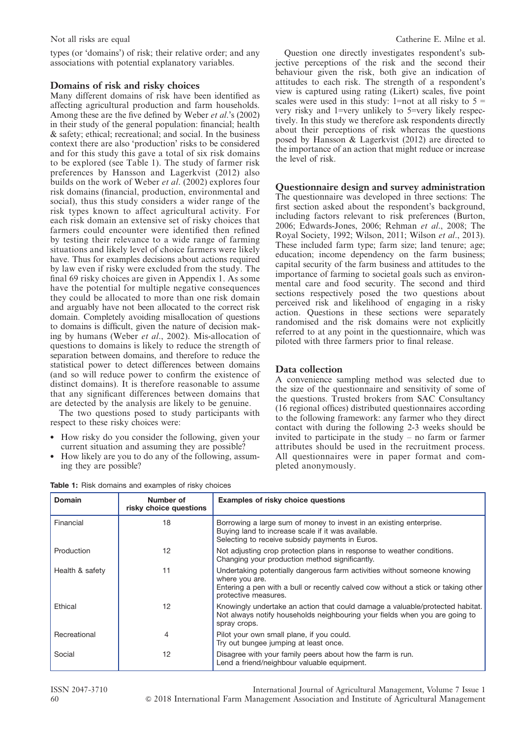types (or 'domains') of risk; their relative order; and any associations with potential explanatory variables.

#### Domains of risk and risky choices

Many different domains of risk have been identified as affecting agricultural production and farm households. Among these are the five defined by Weber et al.'s (2002) in their study of the general population: financial; health & safety; ethical; recreational; and social. In the business context there are also 'production' risks to be considered and for this study this gave a total of six risk domains to be explored (see Table 1). The study of farmer risk preferences by Hansson and Lagerkvist (2012) also builds on the work of Weber et al. (2002) explores four risk domains (financial, production, environmental and social), thus this study considers a wider range of the risk types known to affect agricultural activity. For each risk domain an extensive set of risky choices that farmers could encounter were identified then refined by testing their relevance to a wide range of farming situations and likely level of choice farmers were likely have. Thus for examples decisions about actions required by law even if risky were excluded from the study. The final 69 risky choices are given in Appendix 1. As some have the potential for multiple negative consequences they could be allocated to more than one risk domain and arguably have not been allocated to the correct risk domain. Completely avoiding misallocation of questions to domains is difficult, given the nature of decision making by humans (Weber et al., 2002). Mis-allocation of questions to domains is likely to reduce the strength of separation between domains, and therefore to reduce the statistical power to detect differences between domains (and so will reduce power to confirm the existence of distinct domains). It is therefore reasonable to assume that any significant differences between domains that are detected by the analysis are likely to be genuine.

The two questions posed to study participants with respect to these risky choices were:

- How risky do you consider the following, given your current situation and assuming they are possible?
- How likely are you to do any of the following, assuming they are possible?

Question one directly investigates respondent's subjective perceptions of the risk and the second their behaviour given the risk, both give an indication of attitudes to each risk. The strength of a respondent's view is captured using rating (Likert) scales, five point scales were used in this study:  $1=$ not at all risky to  $5=$ very risky and 1=very unlikely to 5=very likely respectively. In this study we therefore ask respondents directly about their perceptions of risk whereas the questions posed by Hansson & Lagerkvist (2012) are directed to the importance of an action that might reduce or increase the level of risk.

#### Questionnaire design and survey administration

The questionnaire was developed in three sections: The first section asked about the respondent's background, including factors relevant to risk preferences (Burton, 2006; Edwards-Jones, 2006; Rehman et al., 2008; The Royal Society, 1992; Wilson, 2011; Wilson et al., 2013). These included farm type; farm size; land tenure; age; education; income dependency on the farm business; capital security of the farm business and attitudes to the importance of farming to societal goals such as environmental care and food security. The second and third sections respectively posed the two questions about perceived risk and likelihood of engaging in a risky action. Questions in these sections were separately randomised and the risk domains were not explicitly referred to at any point in the questionnaire, which was piloted with three farmers prior to final release.

#### Data collection

A convenience sampling method was selected due to the size of the questionnaire and sensitivity of some of the questions. Trusted brokers from SAC Consultancy (16 regional offices) distributed questionnaires according to the following framework: any farmer who they direct contact with during the following 2-3 weeks should be invited to participate in the study – no farm or farmer attributes should be used in the recruitment process. All questionnaires were in paper format and completed anonymously.

| <b>Domain</b>   | Number of<br>risky choice questions | <b>Examples of risky choice questions</b>                                                                                                                                                                |
|-----------------|-------------------------------------|----------------------------------------------------------------------------------------------------------------------------------------------------------------------------------------------------------|
| Financial       | 18                                  | Borrowing a large sum of money to invest in an existing enterprise.<br>Buying land to increase scale if it was available.<br>Selecting to receive subsidy payments in Euros.                             |
| Production      | 12                                  | Not adjusting crop protection plans in response to weather conditions.<br>Changing your production method significantly.                                                                                 |
| Health & safety | 11                                  | Undertaking potentially dangerous farm activities without someone knowing<br>where you are.<br>Entering a pen with a bull or recently calved cow without a stick or taking other<br>protective measures. |
| Ethical         | 12                                  | Knowingly undertake an action that could damage a valuable/protected habitat.<br>Not always notify households neighbouring your fields when you are going to<br>spray crops.                             |
| Recreational    | 4                                   | Pilot your own small plane, if you could.<br>Try out bungee jumping at least once.                                                                                                                       |
| Social          | 12                                  | Disagree with your family peers about how the farm is run.<br>Lend a friend/neighbour valuable equipment.                                                                                                |

ISSN 2047-3710 International Journal of Agricultural Management, Volume 7 Issue 1 60 & 2018 International Farm Management Association and Institute of Agricultural Management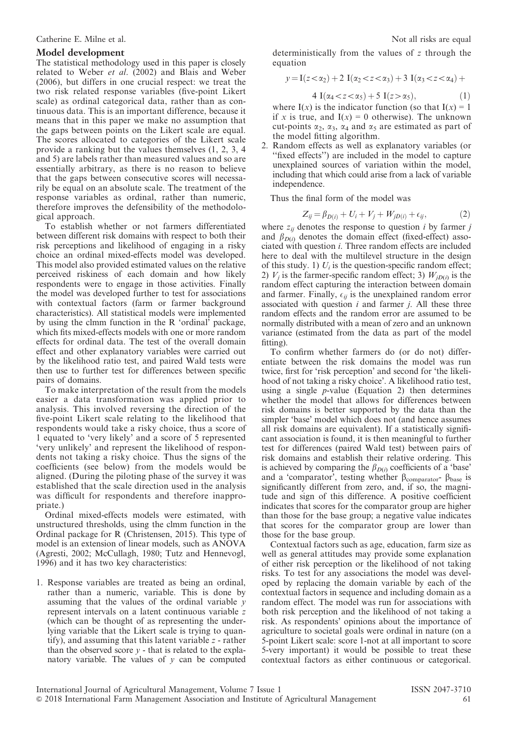#### Model development

The statistical methodology used in this paper is closely related to Weber *et al.*  $(2002)$  and Blais and Weber (2006), but differs in one crucial respect: we treat the two risk related response variables (five-point Likert scale) as ordinal categorical data, rather than as continuous data. This is an important difference, because it means that in this paper we make no assumption that the gaps between points on the Likert scale are equal. The scores allocated to categories of the Likert scale provide a ranking but the values themselves (1, 2, 3, 4 and 5) are labels rather than measured values and so are essentially arbitrary, as there is no reason to believe that the gaps between consecutive scores will necessarily be equal on an absolute scale. The treatment of the response variables as ordinal, rather than numeric, therefore improves the defensibility of the methodological approach.

To establish whether or not farmers differentiated between different risk domains with respect to both their risk perceptions and likelihood of engaging in a risky choice an ordinal mixed-effects model was developed. This model also provided estimated values on the relative perceived riskiness of each domain and how likely respondents were to engage in those activities. Finally the model was developed further to test for associations with contextual factors (farm or farmer background characteristics). All statistical models were implemented by using the clmm function in the R 'ordinal' package, which fits mixed-effects models with one or more random effects for ordinal data. The test of the overall domain effect and other explanatory variables were carried out by the likelihood ratio test, and paired Wald tests were then use to further test for differences between specific pairs of domains.

To make interpretation of the result from the models easier a data transformation was applied prior to analysis. This involved reversing the direction of the five-point Likert scale relating to the likelihood that respondents would take a risky choice, thus a score of 1 equated to 'very likely' and a score of 5 represented 'very unlikely' and represent the likelihood of respondents not taking a risky choice. Thus the signs of the coefficients (see below) from the models would be aligned. (During the piloting phase of the survey it was established that the scale direction used in the analysis was difficult for respondents and therefore inappropriate.)

Ordinal mixed-effects models were estimated, with unstructured thresholds, using the clmm function in the Ordinal package for R (Christensen, 2015). This type of model is an extension of linear models, such as ANOVA (Agresti, 2002; McCullagh, 1980; Tutz and Hennevogl, 1996) and it has two key characteristics:

1. Response variables are treated as being an ordinal, rather than a numeric, variable. This is done by assuming that the values of the ordinal variable  $\dot{y}$ represent intervals on a latent continuous variable z (which can be thought of as representing the underlying variable that the Likert scale is trying to quantify), and assuming that this latent variable z - rather than the observed score  $y$  - that is related to the explanatory variable. The values of  $\nu$  can be computed

deterministically from the values of z through the equation

$$
y=I(z<\alpha_2)+2 I(\alpha_2 < z < \alpha_3)+3 I(\alpha_3 < z < \alpha_4)+
$$
  
4 I(\alpha\_4 < z < \alpha\_5)+5 I(z > \alpha\_5), (1)

where  $I(x)$  is the indicator function (so that  $I(x) = 1$ ) if x is true, and  $I(x) = 0$  otherwise). The unknown cut-points  $\alpha_2$ ,  $\alpha_3$ ,  $\alpha_4$  and  $\alpha_5$  are estimated as part of the model fitting algorithm.

2. Random effects as well as explanatory variables (or ''fixed effects'') are included in the model to capture unexplained sources of variation within the model, including that which could arise from a lack of variable independence.

Thus the final form of the model was

$$
Z_{ij} = \beta_{D(i)} + U_i + V_j + W_{jD(i)} + \epsilon_{ij},\tag{2}
$$

where  $z_{ij}$  denotes the response to question *i* by farmer *j* and  $\beta_{D(i)}$  denotes the domain effect (fixed-effect) associated with question i. Three random effects are included here to deal with the multilevel structure in the design of this study. 1)  $U_i$  is the question-specific random effect; 2)  $V_i$  is the farmer-specific random effect; 3)  $W_{iD(i)}$  is the random effect capturing the interaction between domain and farmer. Finally,  $\epsilon_{ii}$  is the unexplained random error associated with question  $i$  and farmer  $j$ . All these three random effects and the random error are assumed to be normally distributed with a mean of zero and an unknown variance (estimated from the data as part of the model fitting).

To confirm whether farmers do (or do not) differentiate between the risk domains the model was run twice, first for 'risk perception' and second for 'the likelihood of not taking a risky choice'. A likelihood ratio test, using a single  $p$ -value (Equation 2) then determines whether the model that allows for differences between risk domains is better supported by the data than the simpler 'base' model which does not (and hence assumes all risk domains are equivalent). If a statistically significant association is found, it is then meaningful to further test for differences (paired Wald test) between pairs of risk domains and establish their relative ordering. This is achieved by comparing the  $\beta_{D(i)}$  coefficients of a 'base' and a 'comparator', testing whether  $\beta_{\text{comparator}}$ -  $\beta_{\text{base}}$  is significantly different from zero, and, if so, the magnitude and sign of this difference. A positive coefficient indicates that scores for the comparator group are higher than those for the base group; a negative value indicates that scores for the comparator group are lower than those for the base group.

Contextual factors such as age, education, farm size as well as general attitudes may provide some explanation of either risk perception or the likelihood of not taking risks. To test for any associations the model was developed by replacing the domain variable by each of the contextual factors in sequence and including domain as a random effect. The model was run for associations with both risk perception and the likelihood of not taking a risk. As respondents' opinions about the importance of agriculture to societal goals were ordinal in nature (on a 5-point Likert scale: score 1-not at all important to score 5-very important) it would be possible to treat these contextual factors as either continuous or categorical.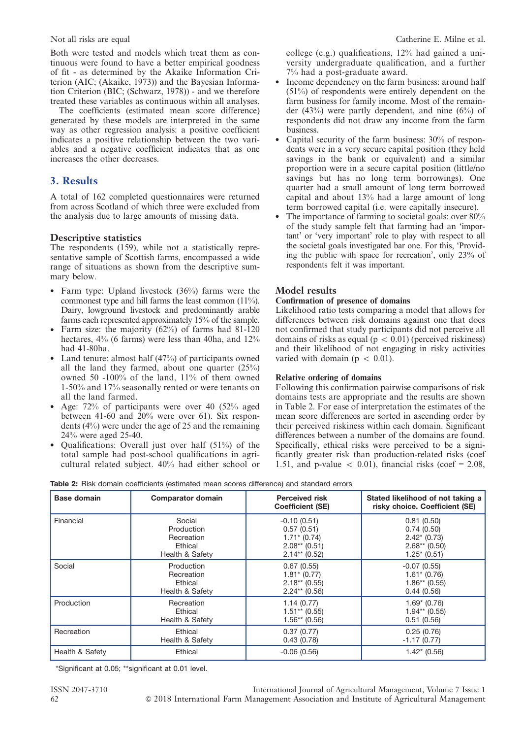Both were tested and models which treat them as continuous were found to have a better empirical goodness of fit - as determined by the Akaike Information Criterion (AIC; (Akaike, 1973)) and the Bayesian Information Criterion (BIC; (Schwarz, 1978)) - and we therefore treated these variables as continuous within all analyses.

The coefficients (estimated mean score difference) generated by these models are interpreted in the same way as other regression analysis: a positive coefficient indicates a positive relationship between the two variables and a negative coefficient indicates that as one increases the other decreases.

#### 3. Results

A total of 162 completed questionnaires were returned from across Scotland of which three were excluded from the analysis due to large amounts of missing data.

#### Descriptive statistics

The respondents (159), while not a statistically representative sample of Scottish farms, encompassed a wide range of situations as shown from the descriptive summary below.

- Farm type: Upland livestock (36%) farms were the commonest type and hill farms the least common (11%). Dairy, lowground livestock and predominantly arable farms each represented approximately 15% of the sample.
- Farm size: the majority  $(62%)$  of farms had 81-120 hectares, 4% (6 farms) were less than 40ha, and 12% had 41-80ha.
- Land tenure: almost half (47%) of participants owned all the land they farmed, about one quarter (25%) owned 50 -100% of the land, 11% of them owned 1-50% and 17% seasonally rented or were tenants on all the land farmed.
- Age: 72% of participants were over 40 (52% aged between 41-60 and 20% were over 61). Six respondents (4%) were under the age of 25 and the remaining 24% were aged 25-40.
- Qualifications: Overall just over half (51%) of the total sample had post-school qualifications in agricultural related subject. 40% had either school or

college (e.g.) qualifications, 12% had gained a university undergraduate qualification, and a further 7% had a post-graduate award.

- Income dependency on the farm business: around half (51%) of respondents were entirely dependent on the farm business for family income. Most of the remainder  $(43\%)$  were partly dependent, and nine  $(6\%)$  of respondents did not draw any income from the farm business.
- Capital security of the farm business: 30% of respondents were in a very secure capital position (they held savings in the bank or equivalent) and a similar proportion were in a secure capital position (little/no savings but has no long term borrowings). One quarter had a small amount of long term borrowed capital and about 13% had a large amount of long term borrowed capital (i.e. were capitally insecure).
- The importance of farming to societal goals: over 80% of the study sample felt that farming had an 'important' or 'very important' role to play with respect to all the societal goals investigated bar one. For this, 'Providing the public with space for recreation', only 23% of respondents felt it was important.

#### Model results

#### Confirmation of presence of domains

Likelihood ratio tests comparing a model that allows for differences between risk domains against one that does not confirmed that study participants did not perceive all domains of risks as equal ( $p < 0.01$ ) (perceived riskiness) and their likelihood of not engaging in risky activities varied with domain ( $p < 0.01$ ).

#### Relative ordering of domains

Following this confirmation pairwise comparisons of risk domains tests are appropriate and the results are shown in Table 2. For ease of interpretation the estimates of the mean score differences are sorted in ascending order by their perceived riskiness within each domain. Significant differences between a number of the domains are found. Specifically, ethical risks were perceived to be a significantly greater risk than production-related risks (coef 1.51, and p-value  $<$  0.01), financial risks (coef = 2.08,

Table 2: Risk domain coefficients (estimated mean scores difference) and standard errors

| <b>Base domain</b> | <b>Comparator domain</b> | <b>Perceived risk</b><br><b>Coefficient (SE)</b> | Stated likelihood of not taking a<br>risky choice. Coefficient (SE) |
|--------------------|--------------------------|--------------------------------------------------|---------------------------------------------------------------------|
| Financial          | Social                   | $-0.10(0.51)$                                    | 0.81(0.50)                                                          |
|                    | Production               | 0.57(0.51)                                       | 0.74(0.50)                                                          |
|                    | Recreation               | $1.71$ (0.74)                                    | $2.42*(0.73)$                                                       |
|                    | Ethical                  | $2.08**$ (0.51)                                  | $2.68**$ (0.50)                                                     |
|                    | Health & Safety          | $2.14**$ (0.52)                                  | $1.25*(0.51)$                                                       |
| Social             | Production               | 0.67(0.55)                                       | $-0.07(0.55)$                                                       |
|                    | Recreation               | $1.81$ $(0.77)$                                  | $1.61*(0.76)$                                                       |
|                    | Ethical                  | $2.18**$ (0.55)                                  | $1.86**$ (0.55)                                                     |
|                    | Health & Safety          | $2.24**$ (0.56)                                  | 0.44(0.56)                                                          |
| Production         | Recreation               | 1.14(0.77)                                       | $1.69*(0.76)$                                                       |
|                    | Ethical                  | $1.51**$ (0.55)                                  | $1.94**$ (0.55)                                                     |
|                    | Health & Safety          | $1.56**$ (0.56)                                  | 0.51(0.56)                                                          |
| Recreation         | Ethical                  | 0.37(0.77)                                       | 0.25(0.76)                                                          |
|                    | Health & Safety          | 0.43(0.78)                                       | $-1.17(0.77)$                                                       |
| Health & Safety    | Ethical                  | $-0.06(0.56)$                                    | $1.42*(0.56)$                                                       |

\*Significant at 0.05; \*\*significant at 0.01 level.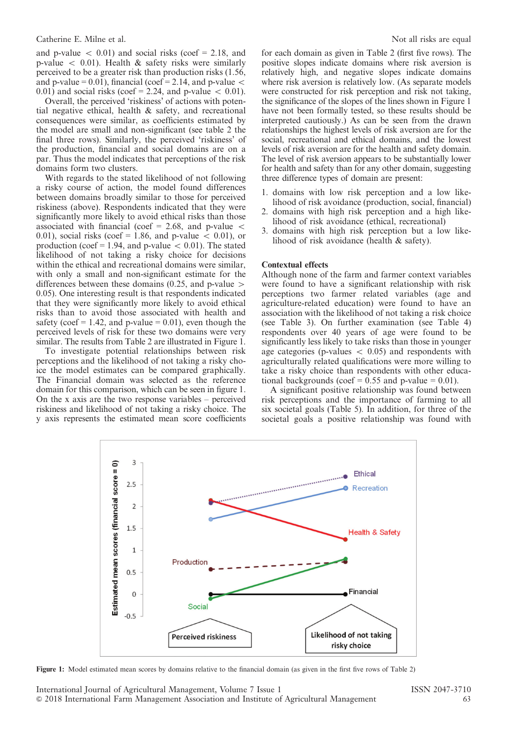#### Catherine E. Milne et al.  $\blacksquare$  Not all risks are equal

and p-value  $< 0.01$ ) and social risks (coef = 2.18, and p-value  $\langle 0.01 \rangle$ . Health & safety risks were similarly perceived to be a greater risk than production risks (1.56, and p-value =  $0.01$ ), financial (coef = 2.14, and p-value  $\lt$ 0.01) and social risks (coef = 2.24, and p-value  $<$  0.01).

Overall, the perceived 'riskiness' of actions with potential negative ethical, health & safety, and recreational consequences were similar, as coefficients estimated by the model are small and non-significant (see table 2 the final three rows). Similarly, the perceived 'riskiness' of the production, financial and social domains are on a par. Thus the model indicates that perceptions of the risk domains form two clusters.

With regards to the stated likelihood of not following a risky course of action, the model found differences between domains broadly similar to those for perceived riskiness (above). Respondents indicated that they were significantly more likely to avoid ethical risks than those associated with financial (coef =  $2.68$ , and p-value < 0.01), social risks (coef = 1.86, and p-value  $\lt$  0.01), or production (coef = 1.94, and p-value  $< 0.01$ ). The stated likelihood of not taking a risky choice for decisions within the ethical and recreational domains were similar, with only a small and non-significant estimate for the differences between these domains  $(0.25, \text{ and } p\text{-value} >$ 0.05). One interesting result is that respondents indicated that they were significantly more likely to avoid ethical risks than to avoid those associated with health and safety (coef = 1.42, and p-value =  $0.01$ ), even though the perceived levels of risk for these two domains were very similar. The results from Table 2 are illustrated in Figure 1.

To investigate potential relationships between risk perceptions and the likelihood of not taking a risky choice the model estimates can be compared graphically. The Financial domain was selected as the reference domain for this comparison, which can be seen in figure 1. On the x axis are the two response variables – perceived riskiness and likelihood of not taking a risky choice. The y axis represents the estimated mean score coefficients

for each domain as given in Table 2 (first five rows). The positive slopes indicate domains where risk aversion is relatively high, and negative slopes indicate domains where risk aversion is relatively low. (As separate models were constructed for risk perception and risk not taking, the significance of the slopes of the lines shown in Figure 1 have not been formally tested, so these results should be interpreted cautiously.) As can be seen from the drawn relationships the highest levels of risk aversion are for the social, recreational and ethical domains, and the lowest levels of risk aversion are for the health and safety domain. The level of risk aversion appears to be substantially lower for health and safety than for any other domain, suggesting three difference types of domain are present:

- 1. domains with low risk perception and a low likelihood of risk avoidance (production, social, financial)
- 2. domains with high risk perception and a high likelihood of risk avoidance (ethical, recreational)
- 3. domains with high risk perception but a low likelihood of risk avoidance (health & safety).

#### Contextual effects

Although none of the farm and farmer context variables were found to have a significant relationship with risk perceptions two farmer related variables (age and agriculture-related education) were found to have an association with the likelihood of not taking a risk choice (see Table 3). On further examination (see Table 4) respondents over 40 years of age were found to be significantly less likely to take risks than those in younger age categories (p-values  $\langle 0.05 \rangle$  and respondents with agriculturally related qualifications were more willing to take a risky choice than respondents with other educational backgrounds (coef =  $0.55$  and p-value = 0.01).

A significant positive relationship was found between risk perceptions and the importance of farming to all six societal goals (Table 5). In addition, for three of the societal goals a positive relationship was found with



Figure 1: Model estimated mean scores by domains relative to the financial domain (as given in the first five rows of Table 2)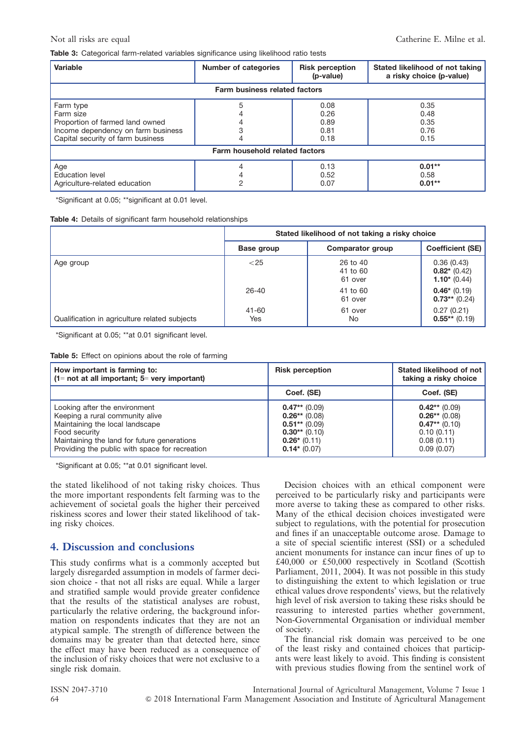#### Table 3: Categorical farm-related variables significance using likelihood ratio tests

| Variable                                                                                                                             | <b>Number of categories</b> | <b>Risk perception</b><br>(p-value)  | Stated likelihood of not taking<br>a risky choice (p-value) |
|--------------------------------------------------------------------------------------------------------------------------------------|-----------------------------|--------------------------------------|-------------------------------------------------------------|
| <b>Farm business related factors</b>                                                                                                 |                             |                                      |                                                             |
| Farm type<br>Farm size<br>Proportion of farmed land owned<br>Income dependency on farm business<br>Capital security of farm business | 5                           | 0.08<br>0.26<br>0.89<br>0.81<br>0.18 | 0.35<br>0.48<br>0.35<br>0.76<br>0.15                        |
| Farm household related factors                                                                                                       |                             |                                      |                                                             |
| Age<br><b>Education level</b><br>Agriculture-related education                                                                       |                             | 0.13<br>0.52<br>0.07                 | $0.01**$<br>0.58<br>$0.01***$                               |

\*Significant at 0.05; \*\*significant at 0.01 level.

| <b>Table 4:</b> Details of significant farm household relationships |  |
|---------------------------------------------------------------------|--|
|---------------------------------------------------------------------|--|

|                                               | Stated likelihood of not taking a risky choice |                                 |                                               |
|-----------------------------------------------|------------------------------------------------|---------------------------------|-----------------------------------------------|
|                                               | Base group                                     | Comparator group                | <b>Coefficient (SE)</b>                       |
| Age group                                     | ${<}25$                                        | 26 to 40<br>41 to 60<br>61 over | 0.36(0.43)<br>$0.82*$ (0.42)<br>$1.10*(0.44)$ |
|                                               | $26 - 40$                                      | 41 to 60<br>61 over             | $0.46*(0.19)$<br>$0.73**$ (0.24)              |
| Qualification in agriculture related subjects | $41 - 60$<br>Yes                               | 61 over<br>No.                  | 0.27(0.21)<br>$0.55**$ (0.19)                 |

\*Significant at 0.05; \*\*at 0.01 significant level.

Table 5: Effect on opinions about the role of farming

| How important is farming to:<br>$(1=$ not at all important; $5=$ very important)                                                                                                                                      | <b>Risk perception</b>                                                                                      | Stated likelihood of not<br>taking a risky choice                                               |
|-----------------------------------------------------------------------------------------------------------------------------------------------------------------------------------------------------------------------|-------------------------------------------------------------------------------------------------------------|-------------------------------------------------------------------------------------------------|
|                                                                                                                                                                                                                       | Coef. (SE)                                                                                                  | Coef. (SE)                                                                                      |
| Looking after the environment<br>Keeping a rural community alive<br>Maintaining the local landscape<br>Food security<br>Maintaining the land for future generations<br>Providing the public with space for recreation | $0.47**$ (0.09)<br>$0.26**$ (0.08)<br>$0.51***$ (0.09)<br>$0.30**$ (0.10)<br>$0.26*(0.11)$<br>$0.14*(0.07)$ | $0.42**$ (0.09)<br>$0.26**$ (0.08)<br>$0.47**$ (0.10)<br>0.10(0.11)<br>0.08(0.11)<br>0.09(0.07) |

\*Significant at 0.05; \*\*at 0.01 significant level.

the stated likelihood of not taking risky choices. Thus the more important respondents felt farming was to the achievement of societal goals the higher their perceived riskiness scores and lower their stated likelihood of taking risky choices.

## 4. Discussion and conclusions

This study confirms what is a commonly accepted but largely disregarded assumption in models of farmer decision choice - that not all risks are equal. While a larger and stratified sample would provide greater confidence that the results of the statistical analyses are robust, particularly the relative ordering, the background information on respondents indicates that they are not an atypical sample. The strength of difference between the domains may be greater than that detected here, since the effect may have been reduced as a consequence of the inclusion of risky choices that were not exclusive to a single risk domain.

Decision choices with an ethical component were perceived to be particularly risky and participants were more averse to taking these as compared to other risks. Many of the ethical decision choices investigated were subject to regulations, with the potential for prosecution and fines if an unacceptable outcome arose. Damage to a site of special scientific interest (SSI) or a scheduled ancient monuments for instance can incur fines of up to  $£40,000$  or  $£50,000$  respectively in Scotland (Scottish Parliament, 2011, 2004). It was not possible in this study to distinguishing the extent to which legislation or true ethical values drove respondents' views, but the relatively high level of risk aversion to taking these risks should be reassuring to interested parties whether government, Non-Governmental Organisation or individual member of society.

The financial risk domain was perceived to be one of the least risky and contained choices that participants were least likely to avoid. This finding is consistent with previous studies flowing from the sentinel work of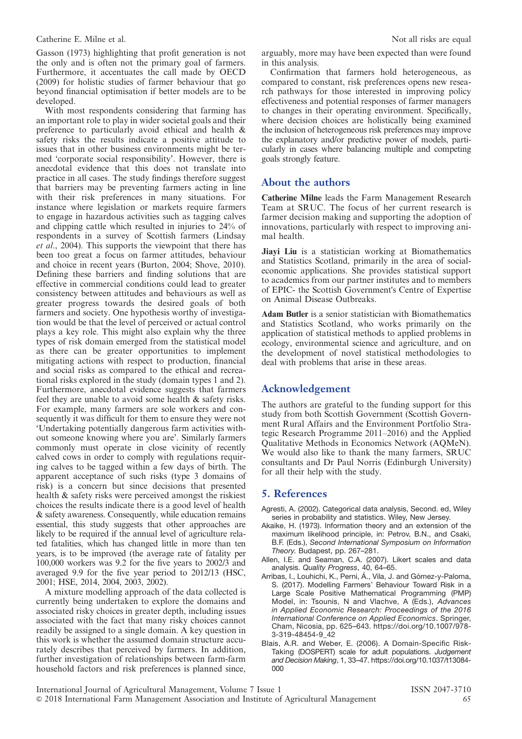#### Catherine E. Milne et al.  $\blacksquare$  Not all risks are equal

Gasson (1973) highlighting that profit generation is not the only and is often not the primary goal of farmers. Furthermore, it accentuates the call made by OECD (2009) for holistic studies of farmer behaviour that go beyond financial optimisation if better models are to be developed.

With most respondents considering that farming has an important role to play in wider societal goals and their preference to particularly avoid ethical and health & safety risks the results indicate a positive attitude to issues that in other business environments might be termed 'corporate social responsibility'. However, there is anecdotal evidence that this does not translate into practice in all cases. The study findings therefore suggest that barriers may be preventing farmers acting in line with their risk preferences in many situations. For instance where legislation or markets require farmers to engage in hazardous activities such as tagging calves and clipping cattle which resulted in injuries to 24% of respondents in a survey of Scottish farmers (Lindsay et al., 2004). This supports the viewpoint that there has been too great a focus on farmer attitudes, behaviour and choice in recent years (Burton, 2004; Shove, 2010). Defining these barriers and finding solutions that are effective in commercial conditions could lead to greater consistency between attitudes and behaviours as well as greater progress towards the desired goals of both farmers and society. One hypothesis worthy of investigation would be that the level of perceived or actual control plays a key role. This might also explain why the three types of risk domain emerged from the statistical model as there can be greater opportunities to implement mitigating actions with respect to production, financial and social risks as compared to the ethical and recreational risks explored in the study (domain types 1 and 2). Furthermore, anecdotal evidence suggests that farmers feel they are unable to avoid some health & safety risks. For example, many farmers are sole workers and consequently it was difficult for them to ensure they were not 'Undertaking potentially dangerous farm activities without someone knowing where you are'. Similarly farmers commonly must operate in close vicinity of recently calved cows in order to comply with regulations requiring calves to be tagged within a few days of birth. The apparent acceptance of such risks (type 3 domains of risk) is a concern but since decisions that presented health & safety risks were perceived amongst the riskiest choices the results indicate there is a good level of health & safety awareness. Consequently, while education remains essential, this study suggests that other approaches are likely to be required if the annual level of agriculture related fatalities, which has changed little in more than ten years, is to be improved (the average rate of fatality per 100,000 workers was 9.2 for the five years to 2002/3 and averaged 9.9 for the five year period to 2012/13 (HSC, 2001; HSE, 2014, 2004, 2003, 2002).

A mixture modelling approach of the data collected is currently being undertaken to explore the domains and associated risky choices in greater depth, including issues associated with the fact that many risky choices cannot readily be assigned to a single domain. A key question in this work is whether the assumed domain structure accurately describes that perceived by farmers. In addition, further investigation of relationships between farm-farm household factors and risk preferences is planned since, arguably, more may have been expected than were found in this analysis.

Confirmation that farmers hold heterogeneous, as compared to constant, risk preferences opens new research pathways for those interested in improving policy effectiveness and potential responses of farmer managers to changes in their operating environment. Specifically, where decision choices are holistically being examined the inclusion of heterogeneous risk preferences may improve the explanatory and/or predictive power of models, particularly in cases where balancing multiple and competing goals strongly feature.

#### About the authors

Catherine Milne leads the Farm Management Research Team at SRUC. The focus of her current research is farmer decision making and supporting the adoption of innovations, particularly with respect to improving animal health.

Jiayi Liu is a statistician working at Biomathematics and Statistics Scotland, primarily in the area of socialeconomic applications. She provides statistical support to academics from our partner institutes and to members of EPIC- the Scottish Government's Centre of Expertise on Animal Disease Outbreaks.

Adam Butler is a senior statistician with Biomathematics and Statistics Scotland, who works primarily on the application of statistical methods to applied problems in ecology, environmental science and agriculture, and on the development of novel statistical methodologies to deal with problems that arise in these areas.

#### Acknowledgement

The authors are grateful to the funding support for this study from both Scottish Government (Scottish Government Rural Affairs and the Environment Portfolio Strategic Research Programme 2011–2016) and the Applied Qualitative Methods in Economics Network (AQMeN). We would also like to thank the many farmers, SRUC consultants and Dr Paul Norris (Edinburgh University) for all their help with the study.

#### 5. References

- Agresti, A. (2002). Categorical data analysis, Second. ed, Wiley series in probability and statistics. Wiley, New Jersey.
- Akaike, H. (1973). Information theory and an extension of the maximum likelihood principle, in: Petrov, B.N., and Csaki, B.F. (Eds.), Second International Symposium on Information Theory. Budapest, pp. 267–281.
- Allen, I.E. and Seaman, C.A. (2007). Likert scales and data analysis. Quality Progress, 40, 64–65.
- Arribas, I., Louhichi, K., Perni, Á., Vila, J. and Gómez-y-Paloma, S. (2017). Modelling Farmers' Behaviour Toward Risk in a Large Scale Positive Mathematical Programming (PMP) Model, in: Tsounis, N and Vlachve, A (Eds.), Advances in Applied Economic Research: Proceedings of the 2016 International Conference on Applied Economics. Springer, Cham, Nicosia, pp. 625–643. https://doi.org/10.1007/978- 3-319-48454-9\_42
- Blais, A.R. and Weber, E. (2006). A Domain-Specific Risk-Taking (DOSPERT) scale for adult populations. Judgement and Decision Making, 1, 33–47. https://doi.org/10.1037/t13084- 000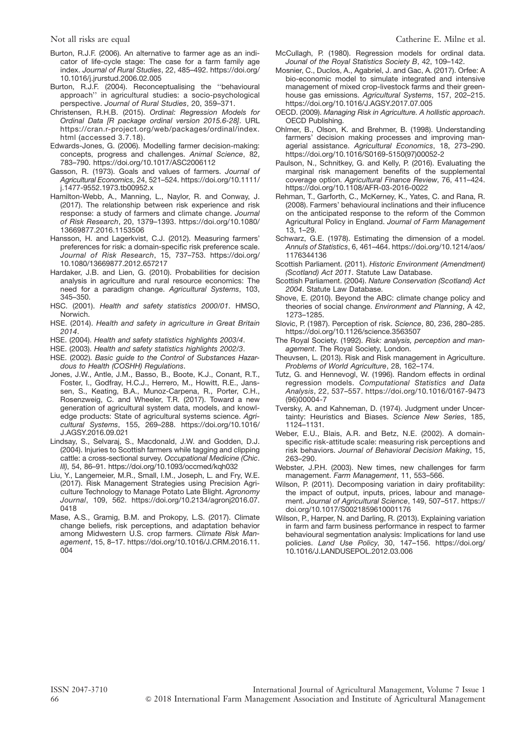- Burton, R.J.F. (2006). An alternative to farmer age as an indicator of life-cycle stage: The case for a farm family age index. Journal of Rural Studies, 22, 485–492. https://doi.org/ 10.1016/j.jrurstud.2006.02.005
- Burton, R.J.F. (2004). Reconceptualising the ''behavioural approach'' in agricultural studies: a socio-psychological perspective. Journal of Rural Studies, 20, 359–371.
- Christensen, R.H.B. (2015). Ordinal: Regression Models for Ordinal Data [R package ordinal version 2015.6-28]. URL https://cran.r-project.org/web/packages/ordinal/index. html (accessed 3.7.18).
- Edwards-Jones, G. (2006). Modelling farmer decision-making: concepts, progress and challenges. Animal Science, 82, 783–790. https://doi.org/10.1017/ASC2006112
- Gasson, R. (1973). Goals and values of farmers. Journal of Agricultural Economics, 24, 521–524. https://doi.org/10.1111/ j.1477-9552.1973.tb00952.x
- Hamilton-Webb, A., Manning, L., Naylor, R. and Conway, J. (2017). The relationship between risk experience and risk response: a study of farmers and climate change. Journal of Risk Research, 20, 1379–1393. https://doi.org/10.1080/ 13669877.2016.1153506
- Hansson, H. and Lagerkvist, C.J. (2012). Measuring farmers' preferences for risk: a domain-specific risk preference scale. Journal of Risk Research, 15, 737–753. https://doi.org/ 10.1080/13669877.2012.657217
- Hardaker, J.B. and Lien, G. (2010). Probabilities for decision analysis in agriculture and rural resource economics: The need for a paradigm change. Agricultural Systems, 103, 345–350.
- HSC. (2001). Health and safety statistics 2000/01. HMSO, Norwich.
- HSE. (2014). Health and safety in agriculture in Great Britain 2014.
- HSE. (2004). Health and safety statistics highlights 2003/4.
- HSE. (2003). Health and safety statistics highlights 2002/3.
- HSE. (2002). Basic guide to the Control of Substances Hazardous to Health (COSHH) Regulations.
- Jones, J.W., Antle, J.M., Basso, B., Boote, K.J., Conant, R.T., Foster, I., Godfray, H.C.J., Herrero, M., Howitt, R.E., Janssen, S., Keating, B.A., Munoz-Carpena, R., Porter, C.H., Rosenzweig, C. and Wheeler, T.R. (2017). Toward a new generation of agricultural system data, models, and knowledge products: State of agricultural systems science. Agricultural Systems, 155, 269–288. https://doi.org/10.1016/ J.AGSY.2016.09.021
- Lindsay, S., Selvaraj, S., Macdonald, J.W. and Godden, D.J. (2004). Injuries to Scottish farmers while tagging and clipping cattle: a cross-sectional survey. Occupational Medicine (Chic. Ill), 54, 86–91. https://doi.org/10.1093/occmed/kqh032
- Liu, Y., Langemeier, M.R., Small, I.M., Joseph, L. and Fry, W.E. (2017). Risk Management Strategies using Precision Agriculture Technology to Manage Potato Late Blight. Agronomy Journal, 109, 562. https://doi.org/10.2134/agronj2016.07. 0418
- Mase, A.S., Gramig, B.M. and Prokopy, L.S. (2017). Climate change beliefs, risk perceptions, and adaptation behavior among Midwestern U.S. crop farmers. Climate Risk Management, 15, 8–17. https://doi.org/10.1016/J.CRM.2016.11. 004
- McCullagh, P. (1980). Regression models for ordinal data. Jounal of the Royal Statistics Society B, 42, 109–142.
- Mosnier, C., Duclos, A., Agabriel, J. and Gac, A. (2017). Orfee: A bio-economic model to simulate integrated and intensive management of mixed crop-livestock farms and their greenhouse gas emissions. Agricultural Systems, 157, 202–215. https://doi.org/10.1016/J.AGSY.2017.07.005
- OECD. (2009). Managing Risk in Agriculture. A hollistic approach. OECD Publishing.
- Ohlmer, B., Olson, K. and Brehmer, B. (1998). Understanding farmers' decision making processes and improving managerial assistance. Agricultural Economics, 18, 273–290. https://doi.org/10.1016/S0169-5150(97)00052-2
- Paulson, N., Schnitkey, G. and Kelly, P. (2016). Evaluating the marginal risk management benefits of the supplemental coverage option. Agricultural Finance Review, 76, 411–424. https://doi.org/10.1108/AFR-03-2016-0022
- Rehman, T., Garforth, C., McKerney, K., Yates, C. and Rana, R. (2008). Farmers' behavioural inclinations and their influcence on the anticipated response to the reform of the Common Agricultural Policy in England. Journal of Farm Management 13, 1–29.
- Schwarz, G.E. (1978). Estimating the dimension of a model. Annuls of Statistics, 6, 461–464. https://doi.org/10.1214/aos/ 1176344136
- Scottish Parliament. (2011). Historic Environment (Amendment) (Scotland) Act 2011. Statute Law Database.
- Scottish Parliament. (2004). Nature Conservation (Scotland) Act 2004. Statute Law Database.
- Shove, E. (2010). Beyond the ABC: climate change policy and theories of social change. Environment and Planning, A 42, 1273–1285.
- Slovic, P. (1987). Perception of risk. Science, 80, 236, 280–285. https://doi.org/10.1126/science.3563507
- The Royal Society. (1992). Risk: analysis, perception and management. The Royal Society, London.
- Theuvsen, L. (2013). Risk and Risk management in Agriculture. Problems of World Agriculture, 28, 162–174.
- Tutz, G. and Hennevogl, W. (1996). Random effects in ordinal regression models. Computational Statistics and Data Analysis, 22, 537–557. https://doi.org/10.1016/0167-9473 (96)00004-7
- Tversky, A. and Kahneman, D. (1974). Judgment under Uncertainty: Heuristics and Biases. Science New Series, 185, 1124–1131.
- Weber, E.U., Blais, A.R. and Betz, N.E. (2002). A domainspecific risk-attitude scale: measuring risk perceptions and risk behaviors. Journal of Behavioral Decision Making, 15, 263–290.
- Webster, J.P.H. (2003). New times, new challenges for farm management. Farm Management, 11, 553-566.
- Wilson, P. (2011). Decomposing variation in dairy profitability: the impact of output, inputs, prices, labour and management. Journal of Agricultural Science, 149, 507–517. https:// doi.org/10.1017/S0021859610001176
- Wilson, P., Harper, N. and Darling, R. (2013). Explaining variation in farm and farm business performance in respect to farmer behavioural segmentation analysis: Implications for land use policies. Land Use Policy, 30, 147–156. https://doi.org/ 10.1016/J.LANDUSEPOL.2012.03.006